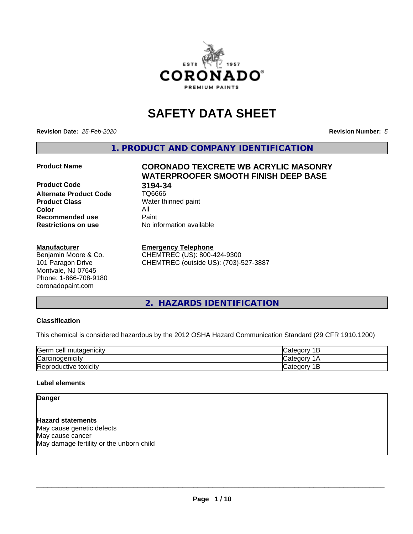

# **SAFETY DATA SHEET**

**Revision Date:** *25-Feb-2020* **Revision Number:** *5*

**1. PRODUCT AND COMPANY IDENTIFICATION**

**Product Code 618 194-34<br>Alternate Product Code 61 106666 Alternate Product Code Product Class** Water thinned paint<br> **Color** All **Color** All **Recommended use Caint Restrictions on use** No information available

#### **Manufacturer**

Benjamin Moore & Co. 101 Paragon Drive Montvale, NJ 07645 Phone: 1-866-708-9180 coronadopaint.com

# **Product Name CORONADO TEXCRETE WB ACRYLIC MASONRY WATERPROOFER SMOOTH FINISH DEEP BASE**

#### **Emergency Telephone**

CHEMTREC (US): 800-424-9300 CHEMTREC (outside US): (703)-527-3887

### **2. HAZARDS IDENTIFICATION**

### **Classification**

This chemical is considered hazardous by the 2012 OSHA Hazard Communication Standard (29 CFR 1910.1200)

| <b>Germ</b><br>ı cell mutaqenicitv | ∵ategor<br>-    |
|------------------------------------|-----------------|
| ∽<br>Carcinogenicity               | ategor: ت       |
| Reproductive toxicity              | ategor ان<br>ــ |

#### **Label elements**

**Danger**

**Hazard statements** May cause genetic defects May cause cancer May damage fertility or the unborn child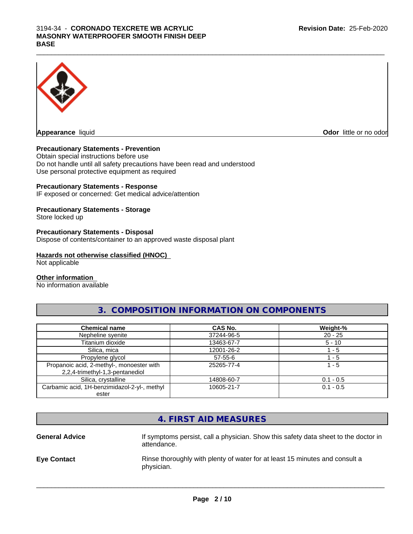#### $\_$  ,  $\_$  ,  $\_$  ,  $\_$  ,  $\_$  ,  $\_$  ,  $\_$  ,  $\_$  ,  $\_$  ,  $\_$  ,  $\_$  ,  $\_$  ,  $\_$  ,  $\_$  ,  $\_$  ,  $\_$  ,  $\_$  ,  $\_$  ,  $\_$  ,  $\_$  ,  $\_$  ,  $\_$  ,  $\_$  ,  $\_$  ,  $\_$  ,  $\_$  ,  $\_$  ,  $\_$  ,  $\_$  ,  $\_$  ,  $\_$  ,  $\_$  ,  $\_$  ,  $\_$  ,  $\_$  ,  $\_$  ,  $\_$  , 3194-34 - **CORONADO TEXCRETE WB ACRYLIC MASONRY WATERPROOFER SMOOTH FINISH DEEP BASE**



**Odor** little or no odor

#### **Precautionary Statements - Prevention**

Obtain special instructions before use Do not handle until all safety precautions have been read and understood Use personal protective equipment as required

#### **Precautionary Statements - Response**

IF exposed or concerned: Get medical advice/attention

### **Precautionary Statements - Storage**

Store locked up

#### **Precautionary Statements - Disposal**

Dispose of contents/container to an approved waste disposal plant

### **Hazards not otherwise classified (HNOC)**

Not applicable

#### **Other information**

No information available

### **3. COMPOSITION INFORMATION ON COMPONENTS**

| <b>Chemical name</b>                                                         | <b>CAS No.</b> | Weight-%    |
|------------------------------------------------------------------------------|----------------|-------------|
| Nepheline syenite                                                            | 37244-96-5     | $20 - 25$   |
| Titanium dioxide                                                             | 13463-67-7     | $5 - 10$    |
| Silica, mica                                                                 | 12001-26-2     | - 5         |
| Propylene glycol                                                             | $57 - 55 - 6$  | $-5$        |
| Propanoic acid, 2-methyl-, monoester with<br>2,2,4-trimethyl-1,3-pentanediol | 25265-77-4     | $1 - 5$     |
| Silica, crystalline                                                          | 14808-60-7     | $0.1 - 0.5$ |
| Carbamic acid, 1H-benzimidazol-2-yl-, methyl                                 | 10605-21-7     | $0.1 - 0.5$ |
| ester                                                                        |                |             |

|                       | 4. FIRST AID MEASURES                                                                              |
|-----------------------|----------------------------------------------------------------------------------------------------|
| <b>General Advice</b> | If symptoms persist, call a physician. Show this safety data sheet to the doctor in<br>attendance. |
| <b>Eye Contact</b>    | Rinse thoroughly with plenty of water for at least 15 minutes and consult a<br>physician.          |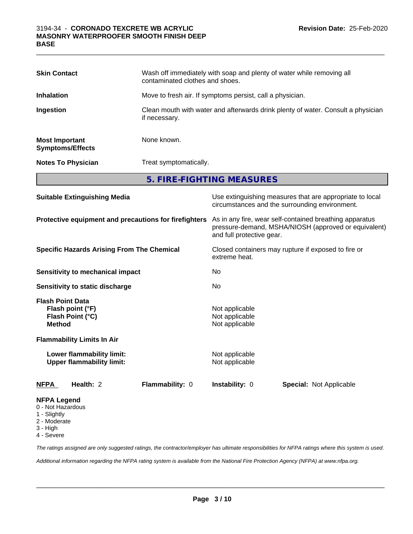| <b>Skin Contact</b>                                                                   |                                                               | Wash off immediately with soap and plenty of water while removing all<br>contaminated clothes and shoes.                                     |                                  |                                                                                                            |  |  |
|---------------------------------------------------------------------------------------|---------------------------------------------------------------|----------------------------------------------------------------------------------------------------------------------------------------------|----------------------------------|------------------------------------------------------------------------------------------------------------|--|--|
| <b>Inhalation</b>                                                                     |                                                               | Move to fresh air. If symptoms persist, call a physician.                                                                                    |                                  |                                                                                                            |  |  |
| Ingestion                                                                             |                                                               | Clean mouth with water and afterwards drink plenty of water. Consult a physician<br>if necessary.                                            |                                  |                                                                                                            |  |  |
| <b>Most Important</b><br><b>Symptoms/Effects</b>                                      |                                                               | None known.                                                                                                                                  |                                  |                                                                                                            |  |  |
|                                                                                       | <b>Notes To Physician</b>                                     | Treat symptomatically.                                                                                                                       |                                  |                                                                                                            |  |  |
|                                                                                       |                                                               |                                                                                                                                              | 5. FIRE-FIGHTING MEASURES        |                                                                                                            |  |  |
| <b>Suitable Extinguishing Media</b>                                                   |                                                               |                                                                                                                                              |                                  | Use extinguishing measures that are appropriate to local<br>circumstances and the surrounding environment. |  |  |
| Protective equipment and precautions for firefighters                                 |                                                               | As in any fire, wear self-contained breathing apparatus<br>pressure-demand, MSHA/NIOSH (approved or equivalent)<br>and full protective gear. |                                  |                                                                                                            |  |  |
| <b>Specific Hazards Arising From The Chemical</b>                                     |                                                               | Closed containers may rupture if exposed to fire or<br>extreme heat.                                                                         |                                  |                                                                                                            |  |  |
|                                                                                       | Sensitivity to mechanical impact                              |                                                                                                                                              | No                               |                                                                                                            |  |  |
|                                                                                       | <b>Sensitivity to static discharge</b>                        |                                                                                                                                              | No                               |                                                                                                            |  |  |
| <b>Flash Point Data</b><br>Flash point (°F)<br>Flash Point (°C)<br><b>Method</b>      |                                                               | Not applicable<br>Not applicable<br>Not applicable                                                                                           |                                  |                                                                                                            |  |  |
|                                                                                       | <b>Flammability Limits In Air</b>                             |                                                                                                                                              |                                  |                                                                                                            |  |  |
|                                                                                       | Lower flammability limit:<br><b>Upper flammability limit:</b> |                                                                                                                                              | Not applicable<br>Not applicable |                                                                                                            |  |  |
| <b>NFPA</b>                                                                           | Health: 2                                                     | Flammability: 0                                                                                                                              | Instability: 0                   | Special: Not Applicable                                                                                    |  |  |
| <b>NFPA Legend</b><br>0 - Not Hazardous<br>1 - Slightly<br>2 - Moderate<br>$3 - High$ |                                                               |                                                                                                                                              |                                  |                                                                                                            |  |  |

 $\_$  ,  $\_$  ,  $\_$  ,  $\_$  ,  $\_$  ,  $\_$  ,  $\_$  ,  $\_$  ,  $\_$  ,  $\_$  ,  $\_$  ,  $\_$  ,  $\_$  ,  $\_$  ,  $\_$  ,  $\_$  ,  $\_$  ,  $\_$  ,  $\_$  ,  $\_$  ,  $\_$  ,  $\_$  ,  $\_$  ,  $\_$  ,  $\_$  ,  $\_$  ,  $\_$  ,  $\_$  ,  $\_$  ,  $\_$  ,  $\_$  ,  $\_$  ,  $\_$  ,  $\_$  ,  $\_$  ,  $\_$  ,  $\_$  ,

4 - Severe

*The ratings assigned are only suggested ratings, the contractor/employer has ultimate responsibilities for NFPA ratings where this system is used.*

*Additional information regarding the NFPA rating system is available from the National Fire Protection Agency (NFPA) at www.nfpa.org.*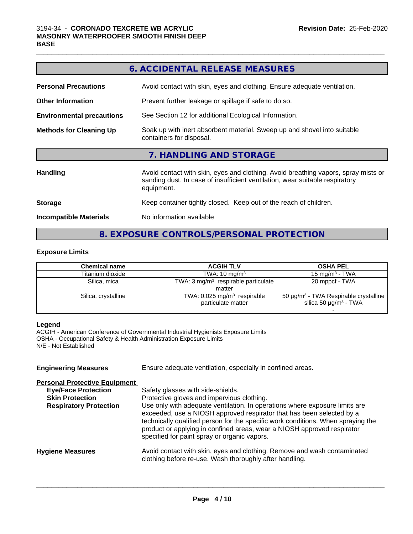|                                  | 6. ACCIDENTAL RELEASE MEASURES                                                                                                                                                   |
|----------------------------------|----------------------------------------------------------------------------------------------------------------------------------------------------------------------------------|
| <b>Personal Precautions</b>      | Avoid contact with skin, eyes and clothing. Ensure adequate ventilation.                                                                                                         |
| <b>Other Information</b>         | Prevent further leakage or spillage if safe to do so.                                                                                                                            |
| <b>Environmental precautions</b> | See Section 12 for additional Ecological Information.                                                                                                                            |
| <b>Methods for Cleaning Up</b>   | Soak up with inert absorbent material. Sweep up and shovel into suitable<br>containers for disposal.                                                                             |
|                                  | 7. HANDLING AND STORAGE                                                                                                                                                          |
| <b>Handling</b>                  | Avoid contact with skin, eyes and clothing. Avoid breathing vapors, spray mists or<br>sanding dust. In case of insufficient ventilation, wear suitable respiratory<br>equipment. |
| <b>Storage</b>                   | Keep container tightly closed. Keep out of the reach of children.                                                                                                                |
| <b>Incompatible Materials</b>    | No information available                                                                                                                                                         |
|                                  |                                                                                                                                                                                  |

## **8. EXPOSURE CONTROLS/PERSONAL PROTECTION**

#### **Exposure Limits**

| <b>Chemical name</b> | <b>ACGIH TLV</b>                                                | <b>OSHA PEL</b>                                                                                  |
|----------------------|-----------------------------------------------------------------|--------------------------------------------------------------------------------------------------|
| Titanium dioxide     | TWA: $10 \text{ mg/m}^3$                                        | 15 mg/m $3$ - TWA                                                                                |
| Silica, mica         | TWA: $3 \text{ mq/m}^3$ respirable particulate                  | 20 mppcf - TWA                                                                                   |
|                      | matter                                                          |                                                                                                  |
| Silica, crystalline  | TWA: $0.025$ mg/m <sup>3</sup> respirable<br>particulate matter | 50 $\mu$ g/m <sup>3</sup> - TWA Respirable crystalline<br>silica 50 $\mu$ g/m <sup>3</sup> - TWA |
|                      |                                                                 |                                                                                                  |

#### **Legend**

ACGIH - American Conference of Governmental Industrial Hygienists Exposure Limits OSHA - Occupational Safety & Health Administration Exposure Limits N/E - Not Established

| <b>Engineering Measures</b>          | Ensure adequate ventilation, especially in confined areas.                                                                                                                                                                                                                                                                                                          |  |  |
|--------------------------------------|---------------------------------------------------------------------------------------------------------------------------------------------------------------------------------------------------------------------------------------------------------------------------------------------------------------------------------------------------------------------|--|--|
| <b>Personal Protective Equipment</b> |                                                                                                                                                                                                                                                                                                                                                                     |  |  |
| <b>Eye/Face Protection</b>           | Safety glasses with side-shields.                                                                                                                                                                                                                                                                                                                                   |  |  |
| <b>Skin Protection</b>               | Protective gloves and impervious clothing.                                                                                                                                                                                                                                                                                                                          |  |  |
| <b>Respiratory Protection</b>        | Use only with adequate ventilation. In operations where exposure limits are<br>exceeded, use a NIOSH approved respirator that has been selected by a<br>technically qualified person for the specific work conditions. When spraying the<br>product or applying in confined areas, wear a NIOSH approved respirator<br>specified for paint spray or organic vapors. |  |  |
| <b>Hygiene Measures</b>              | Avoid contact with skin, eyes and clothing. Remove and wash contaminated<br>clothing before re-use. Wash thoroughly after handling.                                                                                                                                                                                                                                 |  |  |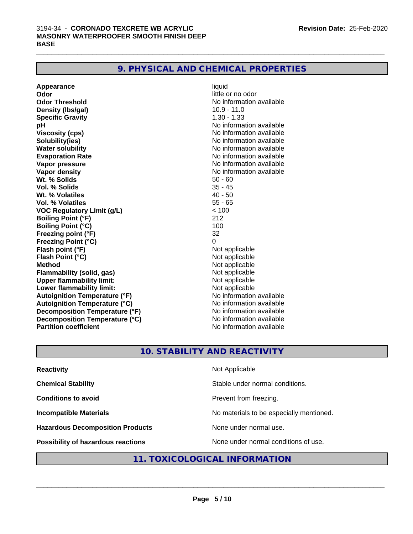## **9. PHYSICAL AND CHEMICAL PROPERTIES**

| Appearance                           | liquid                   |
|--------------------------------------|--------------------------|
| Odor                                 | little or no odor        |
| <b>Odor Threshold</b>                | No information available |
| Density (Ibs/gal)                    | $10.9 - 11.0$            |
| <b>Specific Gravity</b>              | $1.30 - 1.33$            |
| рH                                   | No information available |
| <b>Viscosity (cps)</b>               | No information available |
| Solubility(ies)                      | No information available |
| <b>Water solubility</b>              | No information available |
| <b>Evaporation Rate</b>              | No information available |
| Vapor pressure                       | No information available |
| <b>Vapor density</b>                 | No information available |
| Wt. % Solids                         | $50 - 60$                |
| <b>Vol. % Solids</b>                 | $35 - 45$                |
| Wt. % Volatiles                      | $40 - 50$                |
| <b>Vol. % Volatiles</b>              | $55 - 65$                |
| <b>VOC Regulatory Limit (g/L)</b>    | < 100                    |
| <b>Boiling Point (°F)</b>            | 212                      |
| <b>Boiling Point (°C)</b>            | 100                      |
| Freezing point (°F)                  | 32                       |
| <b>Freezing Point (°C)</b>           | 0                        |
| Flash point (°F)                     | Not applicable           |
| Flash Point (°C)                     | Not applicable           |
| <b>Method</b>                        | Not applicable           |
| <b>Flammability (solid, gas)</b>     | Not applicable           |
| <b>Upper flammability limit:</b>     | Not applicable           |
| Lower flammability limit:            | Not applicable           |
| <b>Autoignition Temperature (°F)</b> | No information available |
| <b>Autoignition Temperature (°C)</b> | No information available |
| Decomposition Temperature (°F)       | No information available |
| Decomposition Temperature (°C)       | No information available |
| <b>Partition coefficient</b>         | No information available |

 $\_$  ,  $\_$  ,  $\_$  ,  $\_$  ,  $\_$  ,  $\_$  ,  $\_$  ,  $\_$  ,  $\_$  ,  $\_$  ,  $\_$  ,  $\_$  ,  $\_$  ,  $\_$  ,  $\_$  ,  $\_$  ,  $\_$  ,  $\_$  ,  $\_$  ,  $\_$  ,  $\_$  ,  $\_$  ,  $\_$  ,  $\_$  ,  $\_$  ,  $\_$  ,  $\_$  ,  $\_$  ,  $\_$  ,  $\_$  ,  $\_$  ,  $\_$  ,  $\_$  ,  $\_$  ,  $\_$  ,  $\_$  ,  $\_$  ,

### **10. STABILITY AND REACTIVITY**

| <b>Reactivity</b>                       | Not Applicable                           |
|-----------------------------------------|------------------------------------------|
| <b>Chemical Stability</b>               | Stable under normal conditions.          |
| <b>Conditions to avoid</b>              | Prevent from freezing.                   |
| <b>Incompatible Materials</b>           | No materials to be especially mentioned. |
| <b>Hazardous Decomposition Products</b> | None under normal use.                   |
| Possibility of hazardous reactions      | None under normal conditions of use.     |

## **11. TOXICOLOGICAL INFORMATION**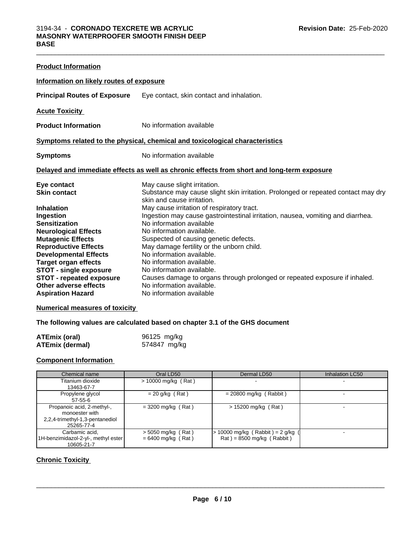| <b>Product Information</b>                                                                                                                                                                                                                                                                                                           |                                                                                                                                                                                                                                                                                                                                                                                                                                                                                                                                                                                                                                   |
|--------------------------------------------------------------------------------------------------------------------------------------------------------------------------------------------------------------------------------------------------------------------------------------------------------------------------------------|-----------------------------------------------------------------------------------------------------------------------------------------------------------------------------------------------------------------------------------------------------------------------------------------------------------------------------------------------------------------------------------------------------------------------------------------------------------------------------------------------------------------------------------------------------------------------------------------------------------------------------------|
| Information on likely routes of exposure                                                                                                                                                                                                                                                                                             |                                                                                                                                                                                                                                                                                                                                                                                                                                                                                                                                                                                                                                   |
| <b>Principal Routes of Exposure</b>                                                                                                                                                                                                                                                                                                  | Eye contact, skin contact and inhalation.                                                                                                                                                                                                                                                                                                                                                                                                                                                                                                                                                                                         |
| <b>Acute Toxicity</b>                                                                                                                                                                                                                                                                                                                |                                                                                                                                                                                                                                                                                                                                                                                                                                                                                                                                                                                                                                   |
| <b>Product Information</b>                                                                                                                                                                                                                                                                                                           | No information available                                                                                                                                                                                                                                                                                                                                                                                                                                                                                                                                                                                                          |
|                                                                                                                                                                                                                                                                                                                                      | Symptoms related to the physical, chemical and toxicological characteristics                                                                                                                                                                                                                                                                                                                                                                                                                                                                                                                                                      |
| <b>Symptoms</b>                                                                                                                                                                                                                                                                                                                      | No information available                                                                                                                                                                                                                                                                                                                                                                                                                                                                                                                                                                                                          |
|                                                                                                                                                                                                                                                                                                                                      | Delayed and immediate effects as well as chronic effects from short and long-term exposure                                                                                                                                                                                                                                                                                                                                                                                                                                                                                                                                        |
| Eye contact<br><b>Skin contact</b><br>Inhalation<br>Ingestion<br>Sensitization<br><b>Neurological Effects</b><br><b>Mutagenic Effects</b><br><b>Reproductive Effects</b><br><b>Developmental Effects</b><br><b>Target organ effects</b><br><b>STOT - single exposure</b><br><b>STOT - repeated exposure</b><br>Other adverse effects | May cause slight irritation.<br>Substance may cause slight skin irritation. Prolonged or repeated contact may dry<br>skin and cause irritation.<br>May cause irritation of respiratory tract.<br>Ingestion may cause gastrointestinal irritation, nausea, vomiting and diarrhea.<br>No information available<br>No information available.<br>Suspected of causing genetic defects.<br>May damage fertility or the unborn child.<br>No information available.<br>No information available.<br>No information available.<br>Causes damage to organs through prolonged or repeated exposure if inhaled.<br>No information available. |

 $\_$  ,  $\_$  ,  $\_$  ,  $\_$  ,  $\_$  ,  $\_$  ,  $\_$  ,  $\_$  ,  $\_$  ,  $\_$  ,  $\_$  ,  $\_$  ,  $\_$  ,  $\_$  ,  $\_$  ,  $\_$  ,  $\_$  ,  $\_$  ,  $\_$  ,  $\_$  ,  $\_$  ,  $\_$  ,  $\_$  ,  $\_$  ,  $\_$  ,  $\_$  ,  $\_$  ,  $\_$  ,  $\_$  ,  $\_$  ,  $\_$  ,  $\_$  ,  $\_$  ,  $\_$  ,  $\_$  ,  $\_$  ,  $\_$  ,

### **Numerical measures of toxicity**

### **The following values are calculated based on chapter 3.1 of the GHS document**

| <b>ATEmix (oral)</b>   | 96125 mg/kg  |
|------------------------|--------------|
| <b>ATEmix (dermal)</b> | 574847 mg/kg |

### **Component Information**

| Chemical name                                                                                 | Oral LD50                                    | Dermal LD50                                                      | Inhalation LC50 |
|-----------------------------------------------------------------------------------------------|----------------------------------------------|------------------------------------------------------------------|-----------------|
| Titanium dioxide<br>13463-67-7                                                                | $> 10000$ mg/kg (Rat)                        |                                                                  |                 |
| Propylene glycol<br>57-55-6                                                                   | $= 20$ g/kg (Rat)                            | $= 20800$ mg/kg (Rabbit)                                         |                 |
| Propanoic acid, 2-methyl-,<br>monoester with<br>2,2,4-trimethyl-1,3-pentanediol<br>25265-77-4 | $=$ 3200 mg/kg (Rat)                         | $> 15200$ mg/kg (Rat)                                            |                 |
| Carbamic acid.<br>1H-benzimidazol-2-yl-, methyl ester<br>10605-21-7                           | $>$ 5050 mg/kg (Rat)<br>$= 6400$ mg/kg (Rat) | 10000 mg/kg (Rabbit) = $2$ g/kg (<br>$Rat$ = 8500 mg/kg (Rabbit) |                 |

### **Chronic Toxicity**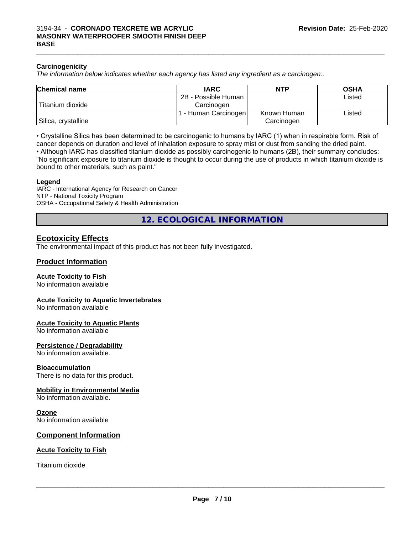#### **Carcinogenicity**

*The information below indicateswhether each agency has listed any ingredient as a carcinogen:.*

| <b>Chemical name</b> | <b>IARC</b>          | <b>NTP</b>  | <b>OSHA</b> |
|----------------------|----------------------|-------------|-------------|
|                      | 2B - Possible Human  |             | Listed      |
| Titanium dioxide     | Carcinoɑen           |             |             |
|                      | . - Human Carcinogen | Known Human | Listed      |
| Silica, crystalline  |                      | Carcinogen  |             |

 $\_$  ,  $\_$  ,  $\_$  ,  $\_$  ,  $\_$  ,  $\_$  ,  $\_$  ,  $\_$  ,  $\_$  ,  $\_$  ,  $\_$  ,  $\_$  ,  $\_$  ,  $\_$  ,  $\_$  ,  $\_$  ,  $\_$  ,  $\_$  ,  $\_$  ,  $\_$  ,  $\_$  ,  $\_$  ,  $\_$  ,  $\_$  ,  $\_$  ,  $\_$  ,  $\_$  ,  $\_$  ,  $\_$  ,  $\_$  ,  $\_$  ,  $\_$  ,  $\_$  ,  $\_$  ,  $\_$  ,  $\_$  ,  $\_$  ,

• Crystalline Silica has been determined to be carcinogenic to humans by IARC (1) when in respirable form. Risk of cancer depends on duration and level of inhalation exposure to spray mist or dust from sanding the dried paint.

• Although IARC has classified titanium dioxide as possibly carcinogenic to humans (2B), their summary concludes: "No significant exposure to titanium dioxide is thought to occur during the use of products in which titanium dioxide is bound to other materials, such as paint."

#### **Legend**

IARC - International Agency for Research on Cancer NTP - National Toxicity Program OSHA - Occupational Safety & Health Administration

**12. ECOLOGICAL INFORMATION**

### **Ecotoxicity Effects**

The environmental impact of this product has not been fully investigated.

#### **Product Information**

#### **Acute Toxicity to Fish**

No information available

#### **Acute Toxicity to Aquatic Invertebrates**

No information available

#### **Acute Toxicity to Aquatic Plants**

No information available

#### **Persistence / Degradability**

No information available.

#### **Bioaccumulation**

There is no data for this product.

#### **Mobility in Environmental Media**

No information available.

#### **Ozone**

No information available

#### **Component Information**

#### **Acute Toxicity to Fish**

Titanium dioxide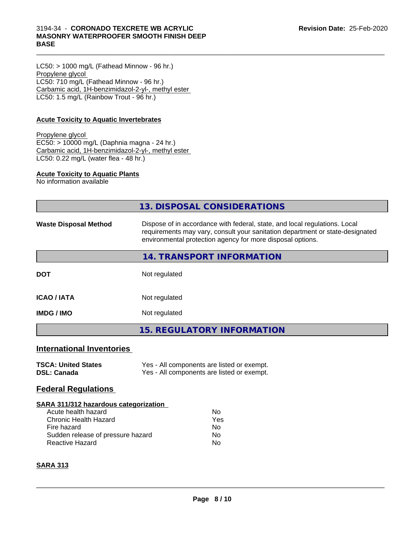#### 3194-34 - **CORONADO TEXCRETE WB ACRYLIC MASONRY WATERPROOFER SMOOTH FINISH DEEP BASE**

LC50: > 1000 mg/L (Fathead Minnow - 96 hr.) Propylene glycol LC50: 710 mg/L (Fathead Minnow - 96 hr.) Carbamic acid, 1H-benzimidazol-2-yl-, methyl ester LC50: 1.5 mg/L (Rainbow Trout - 96 hr.)

### **Acute Toxicity to Aquatic Invertebrates**

Propylene glycol EC50: > 10000 mg/L (Daphnia magna - 24 hr.) Carbamic acid, 1H-benzimidazol-2-yl-, methyl ester LC50: 0.22 mg/L (water flea - 48 hr.)

#### **Acute Toxicity to Aquatic Plants**

No information available

|                                                                                                                                                                     | 13. DISPOSAL CONSIDERATIONS                                                                                                                                                                                               |
|---------------------------------------------------------------------------------------------------------------------------------------------------------------------|---------------------------------------------------------------------------------------------------------------------------------------------------------------------------------------------------------------------------|
| <b>Waste Disposal Method</b>                                                                                                                                        | Dispose of in accordance with federal, state, and local regulations. Local<br>requirements may vary, consult your sanitation department or state-designated<br>environmental protection agency for more disposal options. |
|                                                                                                                                                                     | 14. TRANSPORT INFORMATION                                                                                                                                                                                                 |
| <b>DOT</b>                                                                                                                                                          | Not regulated                                                                                                                                                                                                             |
| <b>ICAO / IATA</b>                                                                                                                                                  | Not regulated                                                                                                                                                                                                             |
| <b>IMDG / IMO</b>                                                                                                                                                   | Not regulated                                                                                                                                                                                                             |
|                                                                                                                                                                     | <b>15. REGULATORY INFORMATION</b>                                                                                                                                                                                         |
| <b>International Inventories</b>                                                                                                                                    |                                                                                                                                                                                                                           |
| <b>TSCA: United States</b><br><b>DSL: Canada</b>                                                                                                                    | Yes - All components are listed or exempt.<br>Yes - All components are listed or exempt.                                                                                                                                  |
| <b>Federal Regulations</b>                                                                                                                                          |                                                                                                                                                                                                                           |
| SARA 311/312 hazardous categorization<br>Acute health hazard<br><b>Chronic Health Hazard</b><br>Fire hazard<br>Sudden release of pressure hazard<br>Reactive Hazard | <b>No</b><br>Yes<br>No<br>No<br>No                                                                                                                                                                                        |
| <b>SARA 313</b>                                                                                                                                                     |                                                                                                                                                                                                                           |
|                                                                                                                                                                     |                                                                                                                                                                                                                           |

 $\_$  ,  $\_$  ,  $\_$  ,  $\_$  ,  $\_$  ,  $\_$  ,  $\_$  ,  $\_$  ,  $\_$  ,  $\_$  ,  $\_$  ,  $\_$  ,  $\_$  ,  $\_$  ,  $\_$  ,  $\_$  ,  $\_$  ,  $\_$  ,  $\_$  ,  $\_$  ,  $\_$  ,  $\_$  ,  $\_$  ,  $\_$  ,  $\_$  ,  $\_$  ,  $\_$  ,  $\_$  ,  $\_$  ,  $\_$  ,  $\_$  ,  $\_$  ,  $\_$  ,  $\_$  ,  $\_$  ,  $\_$  ,  $\_$  ,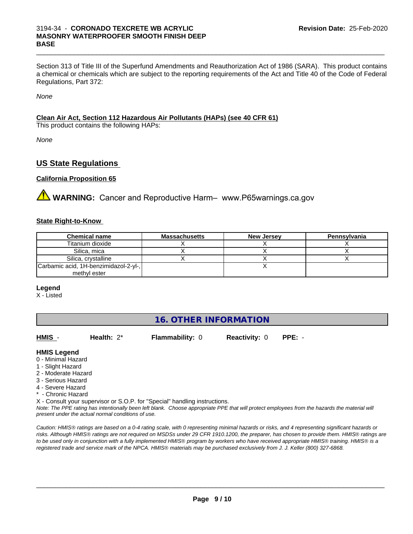#### 3194-34 - **CORONADO TEXCRETE WB ACRYLIC MASONRY WATERPROOFER SMOOTH FINISH DEEP BASE**

Section 313 of Title III of the Superfund Amendments and Reauthorization Act of 1986 (SARA). This product contains a chemical or chemicals which are subject to the reporting requirements of the Act and Title 40 of the Code of Federal Regulations, Part 372:

 $\_$  ,  $\_$  ,  $\_$  ,  $\_$  ,  $\_$  ,  $\_$  ,  $\_$  ,  $\_$  ,  $\_$  ,  $\_$  ,  $\_$  ,  $\_$  ,  $\_$  ,  $\_$  ,  $\_$  ,  $\_$  ,  $\_$  ,  $\_$  ,  $\_$  ,  $\_$  ,  $\_$  ,  $\_$  ,  $\_$  ,  $\_$  ,  $\_$  ,  $\_$  ,  $\_$  ,  $\_$  ,  $\_$  ,  $\_$  ,  $\_$  ,  $\_$  ,  $\_$  ,  $\_$  ,  $\_$  ,  $\_$  ,  $\_$  ,

*None*

### **Clean Air Act,Section 112 Hazardous Air Pollutants (HAPs) (see 40 CFR 61)**

This product contains the following HAPs:

*None*

### **US State Regulations**

#### **California Proposition 65**

**AVIMARNING:** Cancer and Reproductive Harm– www.P65warnings.ca.gov

#### **State Right-to-Know**

| <b>Chemical name</b>                  | <b>Massachusetts</b> | <b>New Jersey</b> | Pennsylvania |
|---------------------------------------|----------------------|-------------------|--------------|
| Titanium dioxide                      |                      |                   |              |
| Silica, mica                          |                      |                   |              |
| Silica, crystalline                   |                      |                   |              |
| Carbamic acid, 1H-benzimidazol-2-yl-, |                      |                   |              |
| methyl ester                          |                      |                   |              |

#### **Legend**

X - Listed

### **16. OTHER INFORMATION**

| HMIS -              | Health: $2^*$ | <b>Flammability: 0</b>                                                     | <b>Reactivity: 0</b> | $PPE: -$                                                                                                                                      |  |
|---------------------|---------------|----------------------------------------------------------------------------|----------------------|-----------------------------------------------------------------------------------------------------------------------------------------------|--|
|                     |               |                                                                            |                      |                                                                                                                                               |  |
| <b>HMIS Legend</b>  |               |                                                                            |                      |                                                                                                                                               |  |
| 0 - Minimal Hazard  |               |                                                                            |                      |                                                                                                                                               |  |
| 1 - Slight Hazard   |               |                                                                            |                      |                                                                                                                                               |  |
| 2 - Moderate Hazard |               |                                                                            |                      |                                                                                                                                               |  |
| 3 - Serious Hazard  |               |                                                                            |                      |                                                                                                                                               |  |
| 4 - Severe Hazard   |               |                                                                            |                      |                                                                                                                                               |  |
| * - Chronic Hazard  |               |                                                                            |                      |                                                                                                                                               |  |
|                     |               | X - Consult your supervisor or S.O.P. for "Special" handling instructions. |                      |                                                                                                                                               |  |
|                     |               |                                                                            |                      | Note: The DDE reting has intentionally heen left hlank. Choose annropriate DDE that will protect employees from the hazards the material will |  |

*Note: The PPE rating has intentionally been left blank. Choose appropriate PPE that will protect employees from the hazards the material will present under the actual normal conditions of use.*

*Caution: HMISÒ ratings are based on a 0-4 rating scale, with 0 representing minimal hazards or risks, and 4 representing significant hazards or risks. Although HMISÒ ratings are not required on MSDSs under 29 CFR 1910.1200, the preparer, has chosen to provide them. HMISÒ ratings are to be used only in conjunction with a fully implemented HMISÒ program by workers who have received appropriate HMISÒ training. HMISÒ is a registered trade and service mark of the NPCA. HMISÒ materials may be purchased exclusively from J. J. Keller (800) 327-6868.*